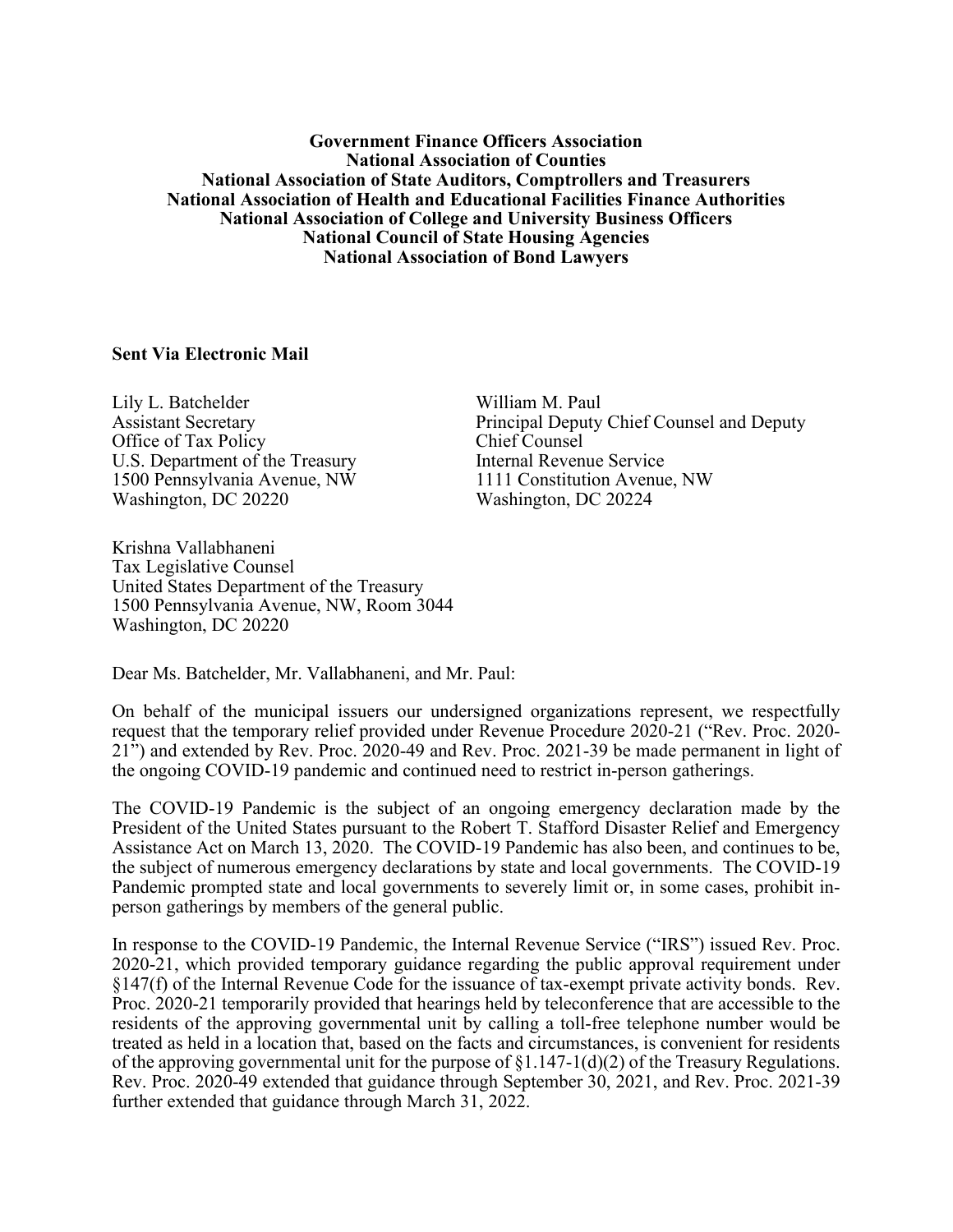## **Government Finance Officers Association National Association of Counties National Association of State Auditors, Comptrollers and Treasurers National Association of Health and Educational Facilities Finance Authorities National Association of College and University Business Officers National Council of State Housing Agencies National Association of Bond Lawyers**

## **Sent Via Electronic Mail**

Lily L. Batchelder Assistant Secretary Office of Tax Policy U.S. Department of the Treasury 1500 Pennsylvania Avenue, NW Washington, DC 20220

William M. Paul Principal Deputy Chief Counsel and Deputy Chief Counsel Internal Revenue Service 1111 Constitution Avenue, NW Washington, DC 20224

Krishna Vallabhaneni Tax Legislative Counsel United States Department of the Treasury 1500 Pennsylvania Avenue, NW, Room 3044 Washington, DC 20220

Dear Ms. Batchelder, Mr. Vallabhaneni, and Mr. Paul:

On behalf of the municipal issuers our undersigned organizations represent, we respectfully request that the temporary relief provided under Revenue Procedure 2020-21 ("Rev. Proc. 2020- 21") and extended by Rev. Proc. 2020-49 and Rev. Proc. 2021-39 be made permanent in light of the ongoing COVID-19 pandemic and continued need to restrict in-person gatherings.

The COVID-19 Pandemic is the subject of an ongoing emergency declaration made by the President of the United States pursuant to the Robert T. Stafford Disaster Relief and Emergency Assistance Act on March 13, 2020. The COVID-19 Pandemic has also been, and continues to be, the subject of numerous emergency declarations by state and local governments. The COVID-19 Pandemic prompted state and local governments to severely limit or, in some cases, prohibit inperson gatherings by members of the general public.

In response to the COVID-19 Pandemic, the Internal Revenue Service ("IRS") issued Rev. Proc. 2020-21, which provided temporary guidance regarding the public approval requirement under §147(f) of the Internal Revenue Code for the issuance of tax-exempt private activity bonds. Rev. Proc. 2020-21 temporarily provided that hearings held by teleconference that are accessible to the residents of the approving governmental unit by calling a toll-free telephone number would be treated as held in a location that, based on the facts and circumstances, is convenient for residents of the approving governmental unit for the purpose of  $\S1.147-1(d)(2)$  of the Treasury Regulations. Rev. Proc. 2020-49 extended that guidance through September 30, 2021, and Rev. Proc. 2021-39 further extended that guidance through March 31, 2022.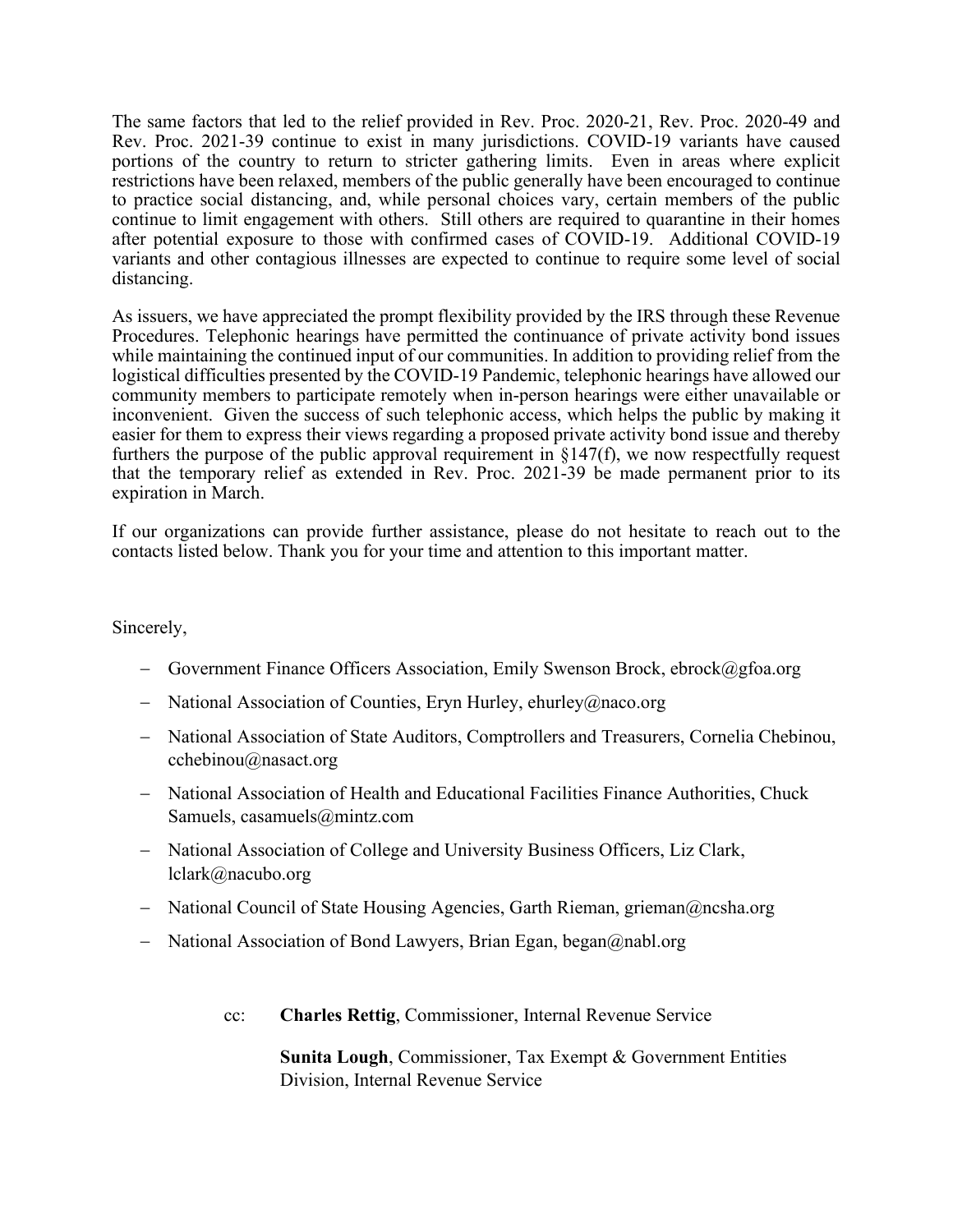The same factors that led to the relief provided in Rev. Proc. 2020-21, Rev. Proc. 2020-49 and Rev. Proc. 2021-39 continue to exist in many jurisdictions. COVID-19 variants have caused portions of the country to return to stricter gathering limits. Even in areas where explicit restrictions have been relaxed, members of the public generally have been encouraged to continue to practice social distancing, and, while personal choices vary, certain members of the public continue to limit engagement with others. Still others are required to quarantine in their homes after potential exposure to those with confirmed cases of COVID-19. Additional COVID-19 variants and other contagious illnesses are expected to continue to require some level of social distancing.

As issuers, we have appreciated the prompt flexibility provided by the IRS through these Revenue Procedures. Telephonic hearings have permitted the continuance of private activity bond issues while maintaining the continued input of our communities. In addition to providing relief from the logistical difficulties presented by the COVID-19 Pandemic, telephonic hearings have allowed our community members to participate remotely when in-person hearings were either unavailable or inconvenient. Given the success of such telephonic access, which helps the public by making it easier for them to express their views regarding a proposed private activity bond issue and thereby furthers the purpose of the public approval requirement in §147(f), we now respectfully request that the temporary relief as extended in Rev. Proc. 2021-39 be made permanent prior to its expiration in March.

If our organizations can provide further assistance, please do not hesitate to reach out to the contacts listed below. Thank you for your time and attention to this important matter.

Sincerely,

- − Government Finance Officers Association, Emily Swenson Brock, ebrock@gfoa.org
- − National Association of Counties, Eryn Hurley, ehurley@naco.org
- − National Association of State Auditors, Comptrollers and Treasurers, Cornelia Chebinou, cchebinou@nasact.org
- − National Association of Health and Educational Facilities Finance Authorities, Chuck Samuels, casamuels@mintz.com
- − National Association of College and University Business Officers, Liz Clark, lclark@nacubo.org
- − National Council of State Housing Agencies, Garth Rieman, grieman@ncsha.org
- − National Association of Bond Lawyers, Brian Egan, began@nabl.org
	- cc: **Charles Rettig**, Commissioner, Internal Revenue Service

**Sunita Lough**, Commissioner, Tax Exempt & Government Entities Division, Internal Revenue Service